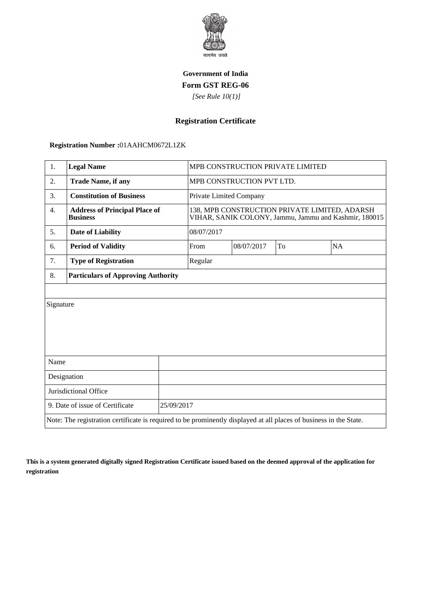

## **Government of India Form GST REG-06**

 *[See Rule 10(1)]*

## **Registration Certificate**

 **Registration Number :**01AAHCM0672L1ZK

| 1.                                                                                                                 | <b>Legal Name</b>                                       |                           | MPB CONSTRUCTION PRIVATE LIMITED                                                                       |            |    |    |
|--------------------------------------------------------------------------------------------------------------------|---------------------------------------------------------|---------------------------|--------------------------------------------------------------------------------------------------------|------------|----|----|
| 2.                                                                                                                 | <b>Trade Name, if any</b>                               | MPB CONSTRUCTION PVT LTD. |                                                                                                        |            |    |    |
| 3.                                                                                                                 | <b>Constitution of Business</b>                         |                           | Private Limited Company                                                                                |            |    |    |
| $\overline{4}$ .                                                                                                   | <b>Address of Principal Place of</b><br><b>Business</b> |                           | 138, MPB CONSTRUCTION PRIVATE LIMITED, ADARSH<br>VIHAR, SANIK COLONY, Jammu, Jammu and Kashmir, 180015 |            |    |    |
| 5.                                                                                                                 | <b>Date of Liability</b>                                |                           | 08/07/2017                                                                                             |            |    |    |
| 6.                                                                                                                 | <b>Period of Validity</b>                               |                           | From                                                                                                   | 08/07/2017 | To | NA |
| 7.                                                                                                                 | <b>Type of Registration</b>                             |                           | Regular                                                                                                |            |    |    |
| 8.                                                                                                                 | <b>Particulars of Approving Authority</b>               |                           |                                                                                                        |            |    |    |
|                                                                                                                    |                                                         |                           |                                                                                                        |            |    |    |
| Signature                                                                                                          |                                                         |                           |                                                                                                        |            |    |    |
|                                                                                                                    |                                                         |                           |                                                                                                        |            |    |    |
|                                                                                                                    |                                                         |                           |                                                                                                        |            |    |    |
|                                                                                                                    |                                                         |                           |                                                                                                        |            |    |    |
| Name                                                                                                               |                                                         |                           |                                                                                                        |            |    |    |
| Designation                                                                                                        |                                                         |                           |                                                                                                        |            |    |    |
| Jurisdictional Office                                                                                              |                                                         |                           |                                                                                                        |            |    |    |
| 9. Date of issue of Certificate                                                                                    |                                                         | 25/09/2017                |                                                                                                        |            |    |    |
| Note: The registration certificate is required to be prominently displayed at all places of business in the State. |                                                         |                           |                                                                                                        |            |    |    |

**This is a system generated digitally signed Registration Certificate issued based on the deemed approval of the application for registration**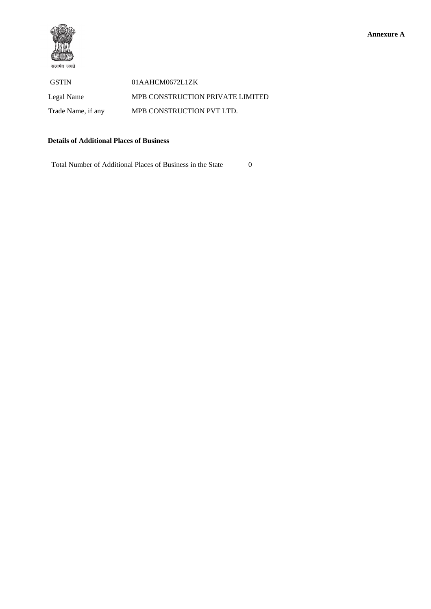

GSTIN 01AAHCM0672L1ZK Legal Name MPB CONSTRUCTION PRIVATE LIMITED Trade Name, if any MPB CONSTRUCTION PVT LTD.

## **Details of Additional Places of Business**

Total Number of Additional Places of Business in the State 0